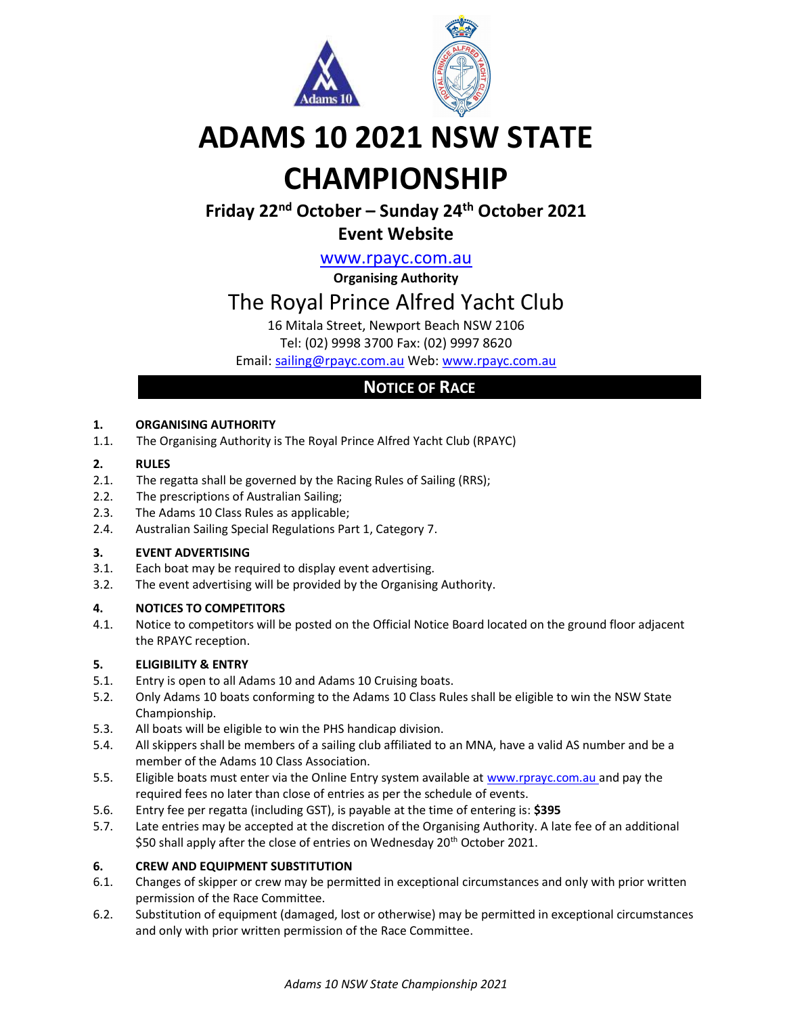

# ADAMS 10 2021 NSW STATE CHAMPIONSHIP

## Friday 22nd October – Sunday 24th October 2021

### Event Website

www.rpayc.com.au

Organising Authority

## The Royal Prince Alfred Yacht Club

16 Mitala Street, Newport Beach NSW 2106

Tel: (02) 9998 3700 Fax: (02) 9997 8620

Email: sailing@rpayc.com.au Web: www.rpayc.com.au

### NOTICE OF RACE

#### 1. ORGANISING AUTHORITY

1.1. The Organising Authority is The Royal Prince Alfred Yacht Club (RPAYC)

#### 2. RULES

- 2.1. The regatta shall be governed by the Racing Rules of Sailing (RRS);
- 2.2. The prescriptions of Australian Sailing;
- 2.3. The Adams 10 Class Rules as applicable;
- 2.4. Australian Sailing Special Regulations Part 1, Category 7.

#### 3. EVENT ADVERTISING

- 3.1. Each boat may be required to display event advertising.
- 3.2. The event advertising will be provided by the Organising Authority.

#### 4. NOTICES TO COMPETITORS

4.1. Notice to competitors will be posted on the Official Notice Board located on the ground floor adjacent the RPAYC reception.

#### 5. ELIGIBILITY & ENTRY

- 5.1. Entry is open to all Adams 10 and Adams 10 Cruising boats.
- 5.2. Only Adams 10 boats conforming to the Adams 10 Class Rules shall be eligible to win the NSW State Championship.
- 5.3. All boats will be eligible to win the PHS handicap division.
- 5.4. All skippers shall be members of a sailing club affiliated to an MNA, have a valid AS number and be a member of the Adams 10 Class Association.
- 5.5. Eligible boats must enter via the Online Entry system available at www.rprayc.com.au and pay the required fees no later than close of entries as per the schedule of events.
- 5.6. Entry fee per regatta (including GST), is payable at the time of entering is: \$395
- 5.7. Late entries may be accepted at the discretion of the Organising Authority. A late fee of an additional \$50 shall apply after the close of entries on Wednesday 20<sup>th</sup> October 2021.

#### 6. CREW AND EQUIPMENT SUBSTITUTION

- 6.1. Changes of skipper or crew may be permitted in exceptional circumstances and only with prior written permission of the Race Committee.
- 6.2. Substitution of equipment (damaged, lost or otherwise) may be permitted in exceptional circumstances and only with prior written permission of the Race Committee.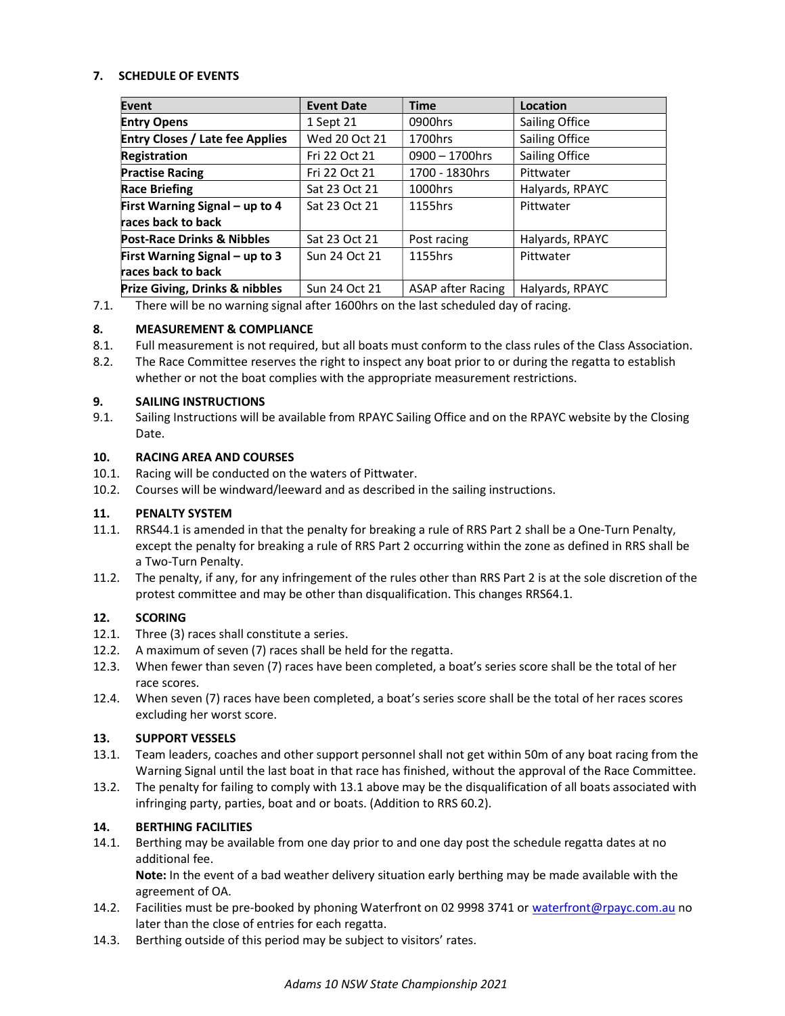#### 7. SCHEDULE OF EVENTS

| Event                                     | <b>Event Date</b> | <b>Time</b>              | Location        |
|-------------------------------------------|-------------------|--------------------------|-----------------|
| <b>Entry Opens</b>                        | 1 Sept 21         | 0900hrs                  | Sailing Office  |
| <b>Entry Closes / Late fee Applies</b>    | Wed 20 Oct 21     | 1700hrs                  | Sailing Office  |
| <b>Registration</b>                       | Fri 22 Oct 21     | $0900 - 1700$ hrs        | Sailing Office  |
| <b>Practise Racing</b>                    | Fri 22 Oct 21     | 1700 - 1830hrs           | Pittwater       |
| <b>Race Briefing</b>                      | Sat 23 Oct 21     | 1000hrs                  | Halyards, RPAYC |
| First Warning Signal - up to 4            | Sat 23 Oct 21     | 1155hrs                  | Pittwater       |
| races back to back                        |                   |                          |                 |
| <b>Post-Race Drinks &amp; Nibbles</b>     | Sat 23 Oct 21     | Post racing              | Halyards, RPAYC |
| First Warning Signal - up to 3            | Sun 24 Oct 21     | 1155hrs                  | Pittwater       |
| races back to back                        |                   |                          |                 |
| <b>Prize Giving, Drinks &amp; nibbles</b> | Sun 24 Oct 21     | <b>ASAP after Racing</b> | Halyards, RPAYC |

7.1. There will be no warning signal after 1600hrs on the last scheduled day of racing.

#### 8. MEASUREMENT & COMPLIANCE

- 8.1. Full measurement is not required, but all boats must conform to the class rules of the Class Association.
- 8.2. The Race Committee reserves the right to inspect any boat prior to or during the regatta to establish whether or not the boat complies with the appropriate measurement restrictions.

#### 9. SAILING INSTRUCTIONS

9.1. Sailing Instructions will be available from RPAYC Sailing Office and on the RPAYC website by the Closing Date.

#### 10. RACING AREA AND COURSES

- 10.1. Racing will be conducted on the waters of Pittwater.
- 10.2. Courses will be windward/leeward and as described in the sailing instructions.

#### 11. PENALTY SYSTEM

- 11.1. RRS44.1 is amended in that the penalty for breaking a rule of RRS Part 2 shall be a One-Turn Penalty, except the penalty for breaking a rule of RRS Part 2 occurring within the zone as defined in RRS shall be a Two-Turn Penalty.
- 11.2. The penalty, if any, for any infringement of the rules other than RRS Part 2 is at the sole discretion of the protest committee and may be other than disqualification. This changes RRS64.1.

#### 12. SCORING

- 12.1. Three (3) races shall constitute a series.
- 12.2. A maximum of seven (7) races shall be held for the regatta.
- 12.3. When fewer than seven (7) races have been completed, a boat's series score shall be the total of her race scores.
- 12.4. When seven (7) races have been completed, a boat's series score shall be the total of her races scores excluding her worst score.

#### 13. SUPPORT VESSELS

- 13.1. Team leaders, coaches and other support personnel shall not get within 50m of any boat racing from the Warning Signal until the last boat in that race has finished, without the approval of the Race Committee.
- 13.2. The penalty for failing to comply with 13.1 above may be the disqualification of all boats associated with infringing party, parties, boat and or boats. (Addition to RRS 60.2).

#### 14. BERTHING FACILITIES

14.1. Berthing may be available from one day prior to and one day post the schedule regatta dates at no additional fee.

Note: In the event of a bad weather delivery situation early berthing may be made available with the agreement of OA.

- 14.2. Facilities must be pre-booked by phoning Waterfront on 02 9998 3741 or waterfront@rpayc.com.au no later than the close of entries for each regatta.
- 14.3. Berthing outside of this period may be subject to visitors' rates.